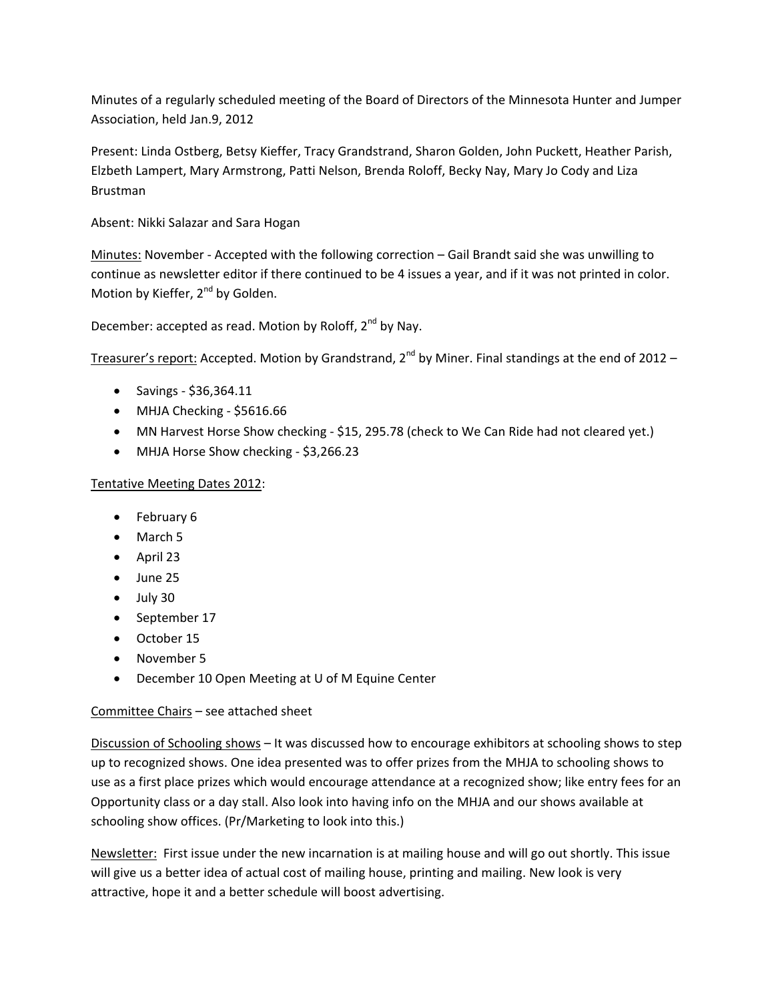Minutes of a regularly scheduled meeting of the Board of Directors of the Minnesota Hunter and Jumper Association, held Jan.9, 2012

Present: Linda Ostberg, Betsy Kieffer, Tracy Grandstrand, Sharon Golden, John Puckett, Heather Parish, Elzbeth Lampert, Mary Armstrong, Patti Nelson, Brenda Roloff, Becky Nay, Mary Jo Cody and Liza Brustman

Absent: Nikki Salazar and Sara Hogan

Minutes: November ‐ Accepted with the following correction – Gail Brandt said she was unwilling to continue as newsletter editor if there continued to be 4 issues a year, and if it was not printed in color. Motion by Kieffer, 2<sup>nd</sup> by Golden.

December: accepted as read. Motion by Roloff, 2<sup>nd</sup> by Nay.

Treasurer's report: Accepted. Motion by Grandstrand,  $2^{nd}$  by Miner. Final standings at the end of 2012 –

- Savings ‐ \$36,364.11
- MHJA Checking \$5616.66
- MN Harvest Horse Show checking \$15, 295.78 (check to We Can Ride had not cleared yet.)
- MHJA Horse Show checking \$3,266.23

# Tentative Meeting Dates 2012:

- February 6
- March 5
- April 23
- June 25
- July 30
- September 17
- October 15
- November 5
- December 10 Open Meeting at U of M Equine Center

# Committee Chairs – see attached sheet

Discussion of Schooling shows – It was discussed how to encourage exhibitors at schooling shows to step up to recognized shows. One idea presented was to offer prizes from the MHJA to schooling shows to use as a first place prizes which would encourage attendance at a recognized show; like entry fees for an Opportunity class or a day stall. Also look into having info on the MHJA and our shows available at schooling show offices. (Pr/Marketing to look into this.)

Newsletter: First issue under the new incarnation is at mailing house and will go out shortly. This issue will give us a better idea of actual cost of mailing house, printing and mailing. New look is very attractive, hope it and a better schedule will boost advertising.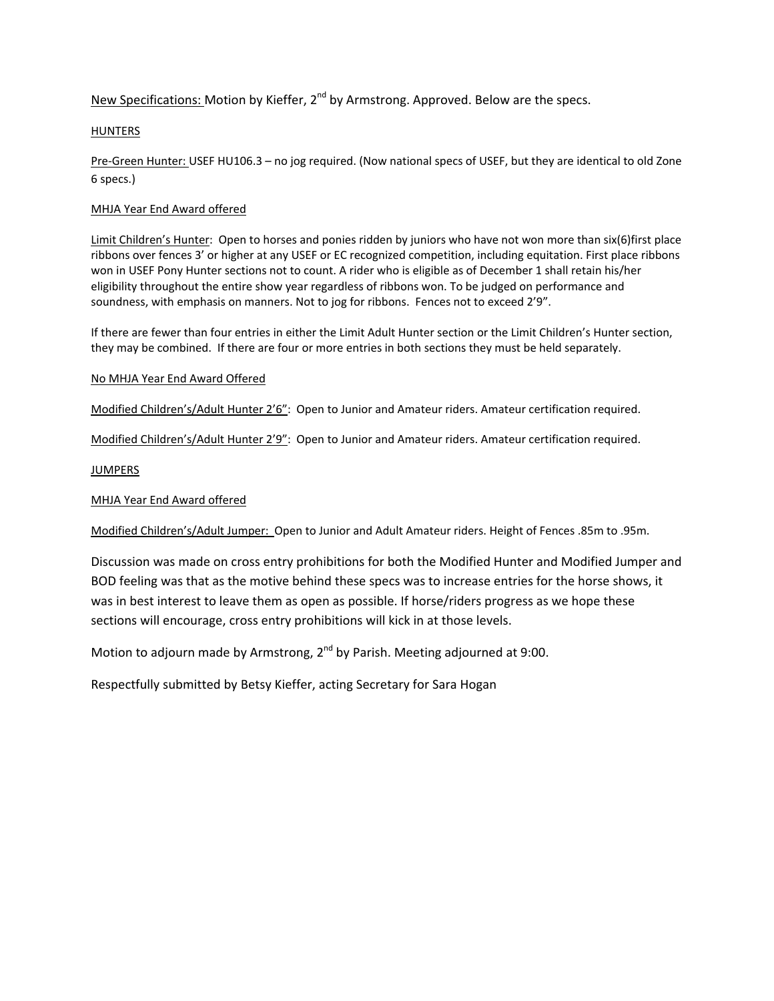New Specifications: Motion by Kieffer, 2<sup>nd</sup> by Armstrong. Approved. Below are the specs.

# HUNTERS

Pre‐Green Hunter: USEF HU106.3 – no jog required. (Now national specs of USEF, but they are identical to old Zone 6 specs.)

# MHJA Year End Award offered

Limit Children's Hunter: Open to horses and ponies ridden by juniors who have not won more than six(6)first place ribbons over fences 3' or higher at any USEF or EC recognized competition, including equitation. First place ribbons won in USEF Pony Hunter sections not to count. A rider who is eligible as of December 1 shall retain his/her eligibility throughout the entire show year regardless of ribbons won. To be judged on performance and soundness, with emphasis on manners. Not to jog for ribbons. Fences not to exceed 2'9".

If there are fewer than four entries in either the Limit Adult Hunter section or the Limit Children's Hunter section, they may be combined. If there are four or more entries in both sections they must be held separately.

#### No MHJA Year End Award Offered

Modified Children's/Adult Hunter 2'6": Open to Junior and Amateur riders. Amateur certification required.

Modified Children's/Adult Hunter 2'9": Open to Junior and Amateur riders. Amateur certification required.

# **JUMPERS**

# MHJA Year End Award offered

Modified Children's/Adult Jumper: Open to Junior and Adult Amateur riders. Height of Fences .85m to .95m.

Discussion was made on cross entry prohibitions for both the Modified Hunter and Modified Jumper and BOD feeling was that as the motive behind these specs was to increase entries for the horse shows, it was in best interest to leave them as open as possible. If horse/riders progress as we hope these sections will encourage, cross entry prohibitions will kick in at those levels.

Motion to adjourn made by Armstrong,  $2^{nd}$  by Parish. Meeting adjourned at 9:00.

Respectfully submitted by Betsy Kieffer, acting Secretary for Sara Hogan